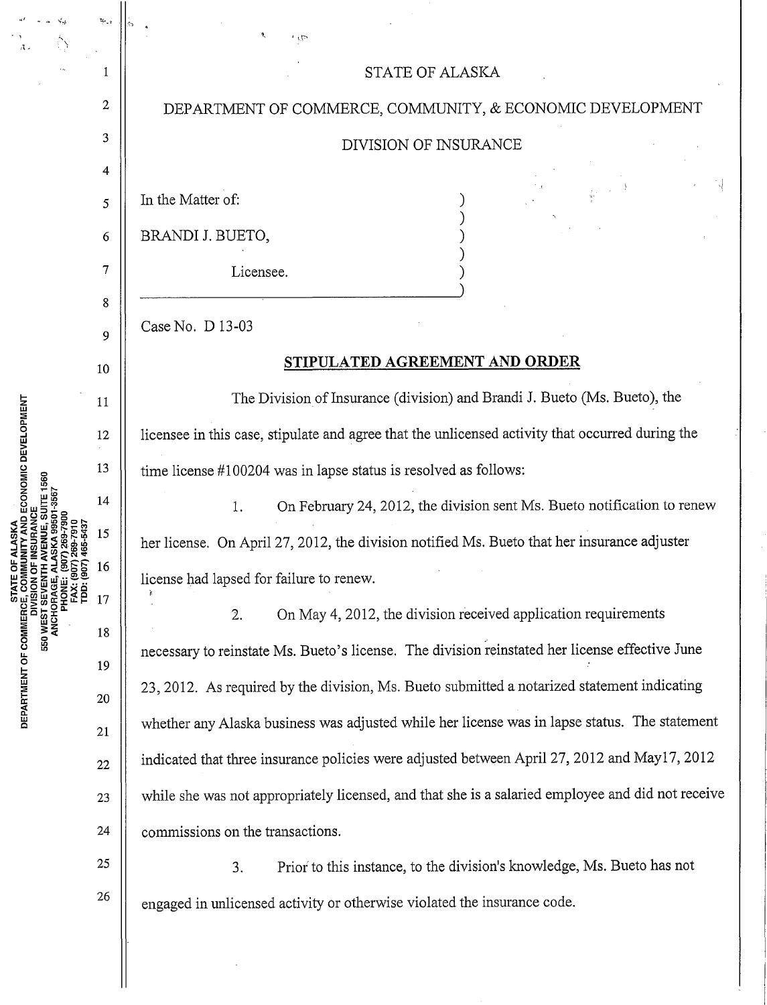|                                                   | $\omega_{\rm eff}$ |                                                                                                   |
|---------------------------------------------------|--------------------|---------------------------------------------------------------------------------------------------|
|                                                   | 1                  | STATE OF ALASKA                                                                                   |
|                                                   | $\overline{c}$     | DEPARTMENT OF COMMERCE, COMMUNITY, & ECONOMIC DEVELOPMENT                                         |
|                                                   | 3                  | DIVISION OF INSURANCE                                                                             |
| <b>FAX: (907) 269-7910</b><br>TDD: (907) 465-5437 | 4                  |                                                                                                   |
|                                                   | 5                  | In the Matter of:                                                                                 |
|                                                   | 6                  | BRANDI J. BUETO,                                                                                  |
|                                                   | $\overline{7}$     | Licensee.                                                                                         |
|                                                   | 8                  |                                                                                                   |
|                                                   | 9                  | Case No. D 13-03                                                                                  |
|                                                   | 10                 | STIPULATED AGREEMENT AND ORDER                                                                    |
|                                                   | 11                 | The Division of Insurance (division) and Brandi J. Bueto (Ms. Bueto), the                         |
|                                                   | 12                 | licensee in this case, stipulate and agree that the unlicensed activity that occurred during the  |
|                                                   | 13                 | time license #100204 was in lapse status is resolved as follows:                                  |
|                                                   | 14                 | On February 24, 2012, the division sent Ms. Bueto notification to renew<br>1.                     |
|                                                   | 15                 | her license. On April 27, 2012, the division notified Ms. Bueto that her insurance adjuster       |
|                                                   | 16                 | license had lapsed for failure to renew.                                                          |
|                                                   | 17                 | On May 4, 2012, the division received application requirements<br>2.                              |
|                                                   | 18                 | necessary to reinstate Ms. Bueto's license. The division reinstated her license effective June    |
|                                                   | 19                 | 23, 2012. As required by the division, Ms. Bueto submitted a notarized statement indicating       |
|                                                   | 20                 | whether any Alaska business was adjusted while her license was in lapse status. The statement     |
|                                                   | 21<br>$22\,$       | indicated that three insurance policies were adjusted between April 27, 2012 and May17, 2012      |
|                                                   | 23                 | while she was not appropriately licensed, and that she is a salaried employee and did not receive |
|                                                   | 24                 | commissions on the transactions.                                                                  |
|                                                   | $25\,$             |                                                                                                   |
|                                                   | 26                 | Prior to this instance, to the division's knowledge, Ms. Bueto has not<br>3.                      |
|                                                   |                    | engaged in unlicensed activity or otherwise violated the insurance code.                          |
|                                                   |                    |                                                                                                   |

 $\hat{\boldsymbol{\beta}}$ 

**NENT OF** E. <sup>~</sup>w c

 $\begin{aligned} \omega^2 = \frac{1}{2} \frac{1}{2} \frac{1}{2} \frac{1}{2} \frac{1}{2} \frac{1}{2} \frac{1}{2} \frac{1}{2} \frac{1}{2} \frac{1}{2} \frac{1}{2} \frac{1}{2} \frac{1}{2} \frac{1}{2} \frac{1}{2} \frac{1}{2} \frac{1}{2} \frac{1}{2} \frac{1}{2} \frac{1}{2} \frac{1}{2} \frac{1}{2} \frac{1}{2} \frac{1}{2} \frac{1}{2} \frac{1}{2} \frac{1}{2} \frac{1}{2} \frac{1}{2} \frac{1}{2}$ 

 $\sim$   $\sim$   $\beta_{\rm S}$ 

 $\frac{1}{2}$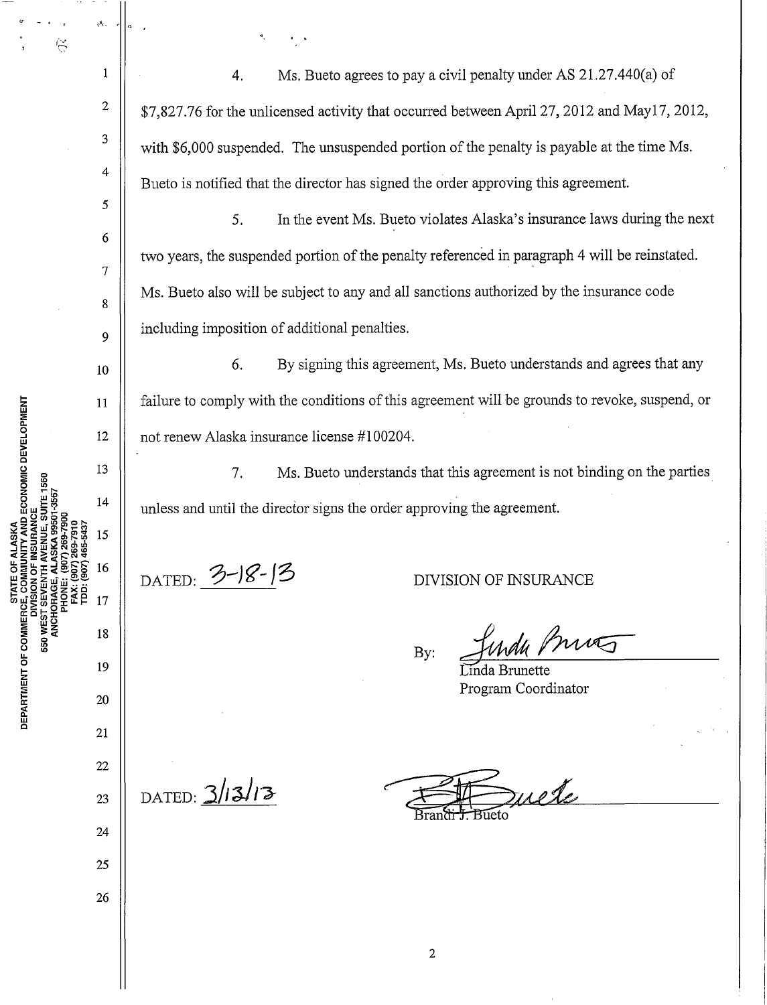$\tilde{\ominus}$ 

1

ρĥ.

2

3

4

5

6

7

8

9

14

15

16

17

24

25

26

- . '

4. Ms. Bueto agrees to pay a civil penalty tmder AS 21.27.440(a) of \$7,827.76 for the unlicensed activity that occurred between April27, 2012 and May17, 2012, with \$6,000 suspended. The unsuspended portion of the penalty is payable at the time Ms. Bueto is notified that the director has signed the order approving this agreement.

5. In the event Ms. Bueto violates Alaska's insurance laws during the next two years, the suspended portion of the penalty referenced in paragraph 4 will be reinstated. Ms. Bueto also will be subject to any and all sanctions authorized by the insurance code including imposition of additional penalties.

6. By signing this agreement, Ms. Bueto understands and agrees that any failure to comply with the conditions of this agreement will be grounds to revoke, suspend, or not renew Alaska insurance license #1 00204.

7. Ms. Bueto understands that this agreement is not binding on the parties unless and until the director signs the order approving the agreement.

DATED: 3-18-13 DIVISION OF INSURANCE

mag By:

Linda Brunette Program Coordinator

DATED:  $3/13/13$ 

mete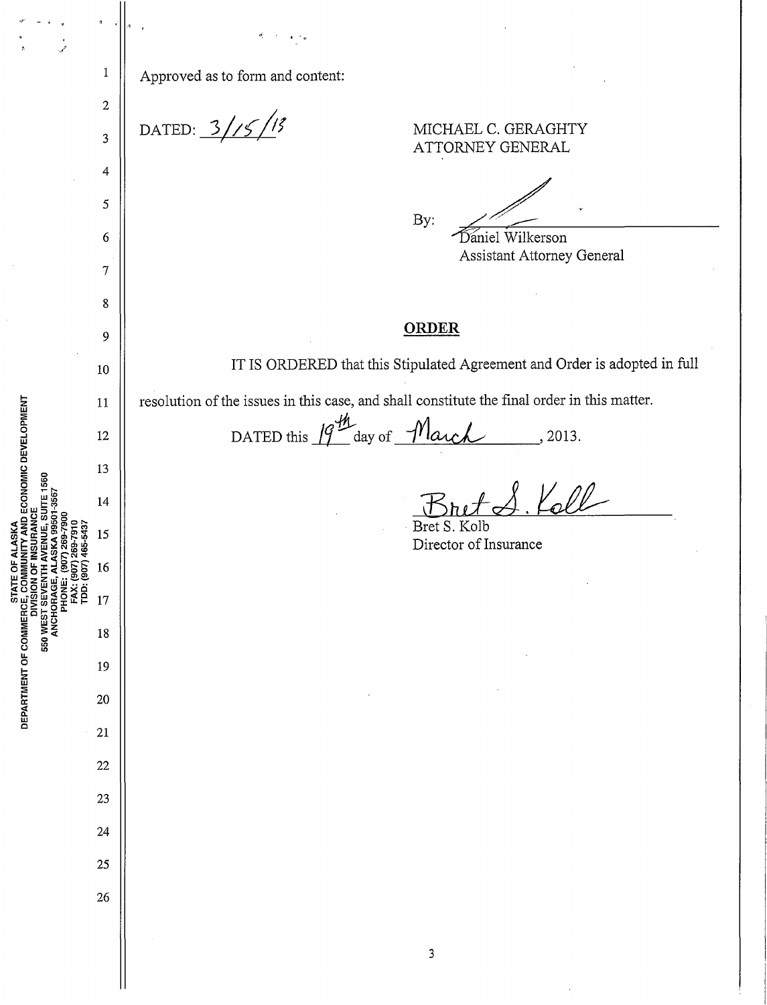$\mathbf{1}$ Approved as to form and content:  $\overline{2}$ DATED:  $3/15/15$ MICHAEL C. GERAGHTY  $\overline{3}$ ATTORNEY GENERAL  $\overline{4}$ 5 By: Daniel Wilkerson  $\boldsymbol{6}$ **Assistant Attorney General**  $\overline{7}$ 8 **ORDER** 9 IT IS ORDERED that this Stipulated Agreement and Order is adopted in full 10 resolution of the issues in this case, and shall constitute the final order in this matter. 11 DATED this  $19^{\frac{m}{2}}$  day of  $\frac{m}{2}$  and  $\frac{m}{2}$ , 2013. 12 13 A.Koll 14 S. Kolb 15 Director of Insurance 16 17 550 WES 18 19 20 21  $22$ 23 24 25 26  $\overline{\mathbf{3}}$ 

AND ECONOMIC DEVELOPMENT

STATE OF ALASKA

DEPARTMENT OF COMMERC